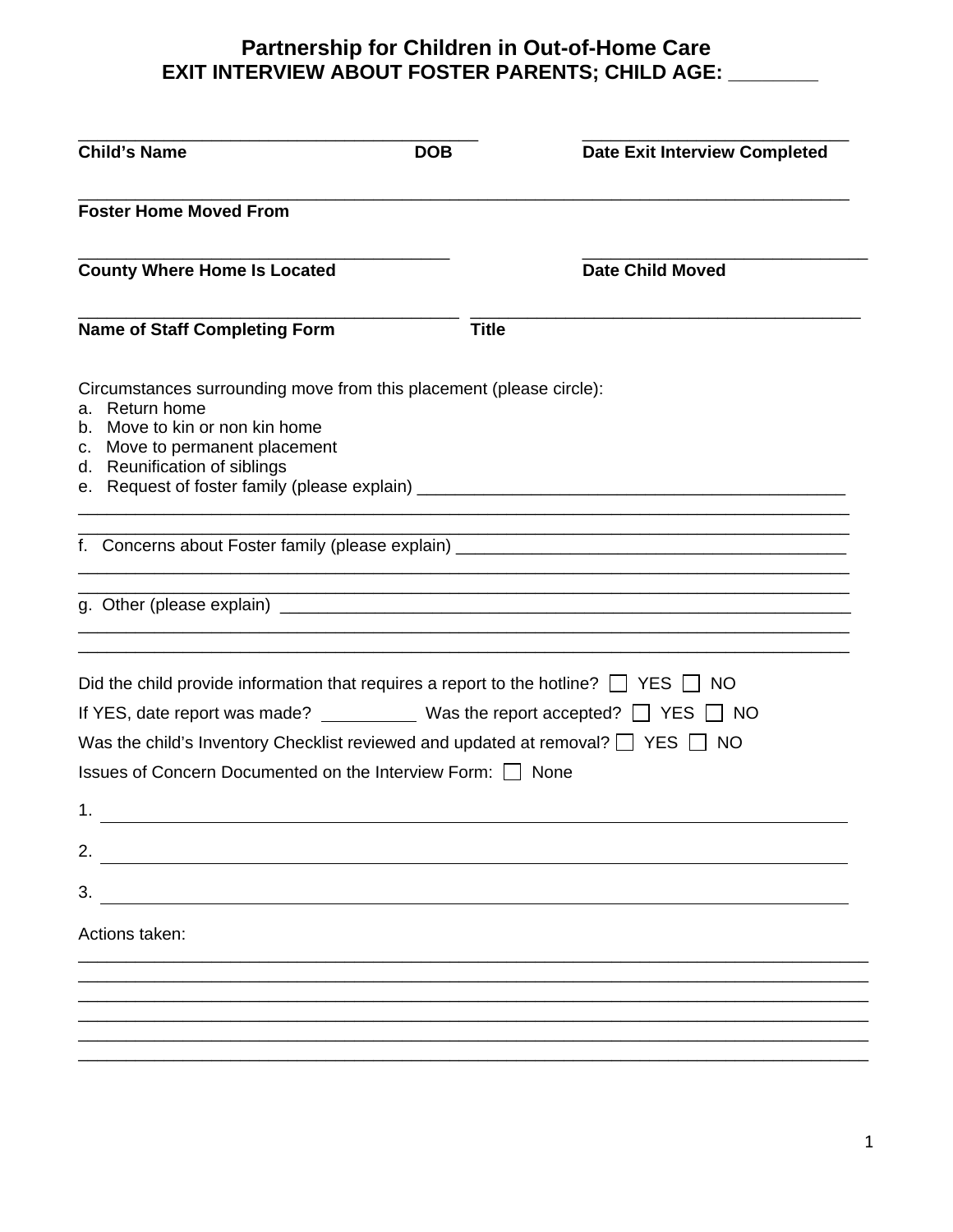| <b>Child's Name</b>                                                                                                                                                                                                                                                                                                                                            | <b>DOB</b>   | <b>Date Exit Interview Completed</b> |
|----------------------------------------------------------------------------------------------------------------------------------------------------------------------------------------------------------------------------------------------------------------------------------------------------------------------------------------------------------------|--------------|--------------------------------------|
| <b>Foster Home Moved From</b>                                                                                                                                                                                                                                                                                                                                  |              |                                      |
| <b>County Where Home Is Located</b>                                                                                                                                                                                                                                                                                                                            |              | <b>Date Child Moved</b>              |
| <b>Name of Staff Completing Form</b>                                                                                                                                                                                                                                                                                                                           | <b>Title</b> |                                      |
| Circumstances surrounding move from this placement (please circle):<br>a. Return home<br>b. Move to kin or non kin home<br>c. Move to permanent placement<br>d. Reunification of siblings                                                                                                                                                                      |              |                                      |
|                                                                                                                                                                                                                                                                                                                                                                |              |                                      |
|                                                                                                                                                                                                                                                                                                                                                                |              |                                      |
| Did the child provide information that requires a report to the hotline? $\Box$ YES $\Box$ NO<br>If YES, date report was made? $\_\_\_\_\_\_\_\$ Was the report accepted? $\_\_\_\$ YES<br>Was the child's Inventory Checklist reviewed and updated at removal? $\Box$ YES $\Box$ NO<br>Issues of Concern Documented on the Interview Form: □ None<br>1.<br>2. |              | ∣ NO                                 |
| 3.                                                                                                                                                                                                                                                                                                                                                             |              |                                      |
| Actions taken:                                                                                                                                                                                                                                                                                                                                                 |              |                                      |
|                                                                                                                                                                                                                                                                                                                                                                |              |                                      |
|                                                                                                                                                                                                                                                                                                                                                                |              |                                      |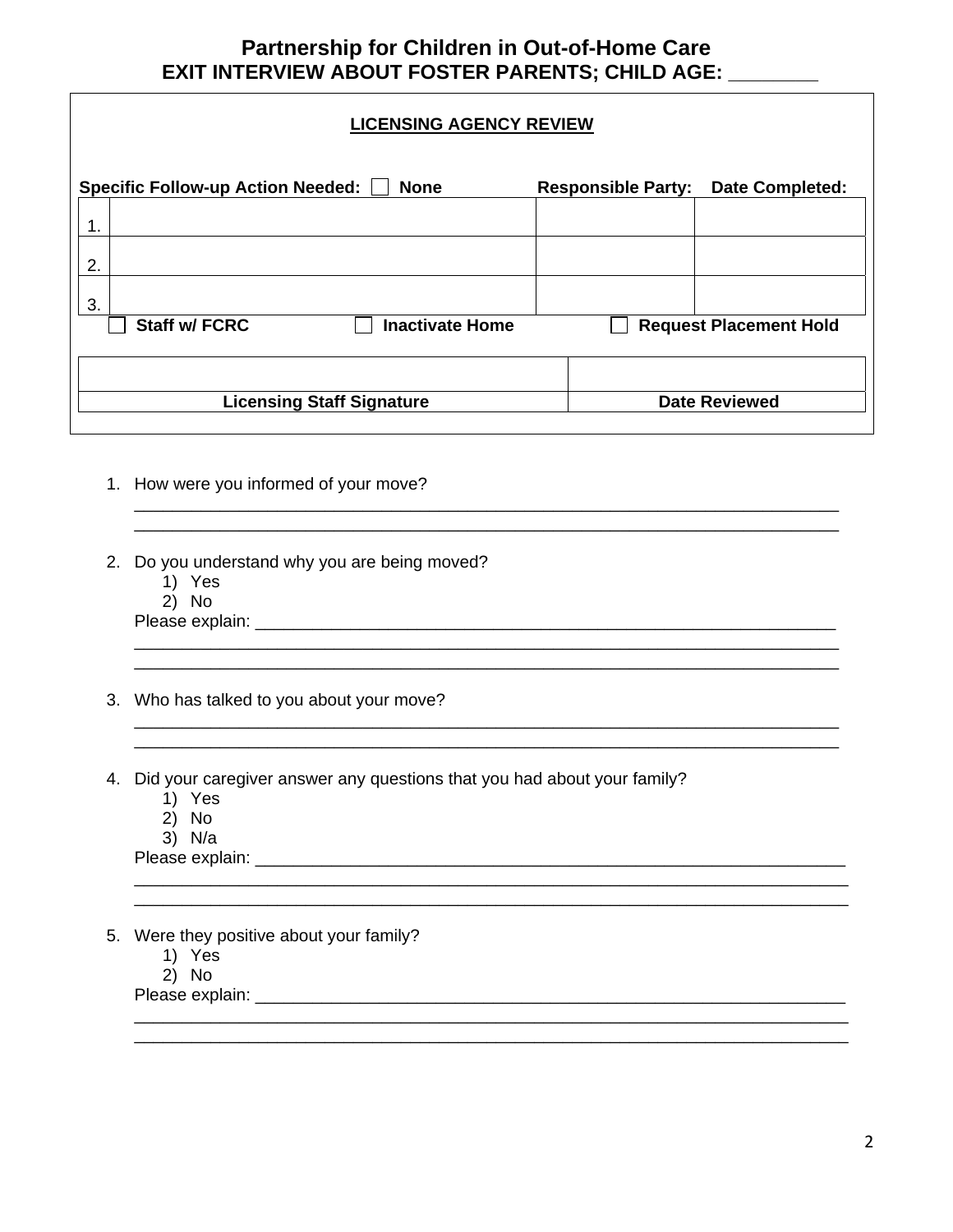#### **LICENSING AGENCY REVIEW**

| <b>Specific Follow-up Action Needed:</b> | <b>None</b>            | <b>Responsible Party:</b> | <b>Date Completed:</b>        |  |
|------------------------------------------|------------------------|---------------------------|-------------------------------|--|
| 1<br>ι.                                  |                        |                           |                               |  |
| 2.                                       |                        |                           |                               |  |
| 3.                                       |                        |                           |                               |  |
| <b>Staff w/ FCRC</b>                     | <b>Inactivate Home</b> |                           | <b>Request Placement Hold</b> |  |
|                                          |                        |                           |                               |  |
| <b>Licensing Staff Signature</b>         |                        | <b>Date Reviewed</b>      |                               |  |

 $\ldots$  . The contribution of the contribution of the contribution of the contribution of the contribution of the contribution of the contribution of the contribution of the contribution of the contribution of the contribut

\_\_\_\_\_\_\_\_\_\_\_\_\_\_\_\_\_\_\_\_\_\_\_\_\_\_\_\_\_\_\_\_\_\_\_\_\_\_\_\_\_\_\_\_\_\_\_\_\_\_\_\_\_\_\_\_\_\_\_\_\_\_\_\_\_\_\_\_\_\_\_\_\_\_

\_\_\_\_\_\_\_\_\_\_\_\_\_\_\_\_\_\_\_\_\_\_\_\_\_\_\_\_\_\_\_\_\_\_\_\_\_\_\_\_\_\_\_\_\_\_\_\_\_\_\_\_\_\_\_\_\_\_\_\_\_\_\_\_\_\_\_\_\_\_\_\_\_\_\_

\_\_\_\_\_\_\_\_\_\_\_\_\_\_\_\_\_\_\_\_\_\_\_\_\_\_\_\_\_\_\_\_\_\_\_\_\_\_\_\_\_\_\_\_\_\_\_\_\_\_\_\_\_\_\_\_\_\_\_\_\_\_\_\_\_\_\_\_\_\_\_\_\_\_\_

- 1. How were you informed of your move?
- 2. Do you understand why you are being moved?
	- 1) Yes
	- 2) No

Please explain: \_\_\_\_\_\_\_\_\_\_\_\_\_\_\_\_\_\_\_\_\_\_\_\_\_\_\_\_\_\_\_\_\_\_\_\_\_\_\_\_\_\_\_\_\_\_\_\_\_\_\_\_\_\_\_\_\_\_\_\_\_

- 3. Who has talked to you about your move?
- 4. Did your caregiver answer any questions that you had about your family?

\_\_\_\_\_\_\_\_\_\_\_\_\_\_\_\_\_\_\_\_\_\_\_\_\_\_\_\_\_\_\_\_\_\_\_\_\_\_\_\_\_\_\_\_\_\_\_\_\_\_\_\_\_\_\_\_\_\_\_\_\_\_\_\_\_\_\_\_\_\_\_\_\_\_

- 1) Yes
- 2) No
- 3) N/a

Please explain: **Example 2018** 

- 5. Were they positive about your family?
	- 1) Yes
	- 2) No

Please explain: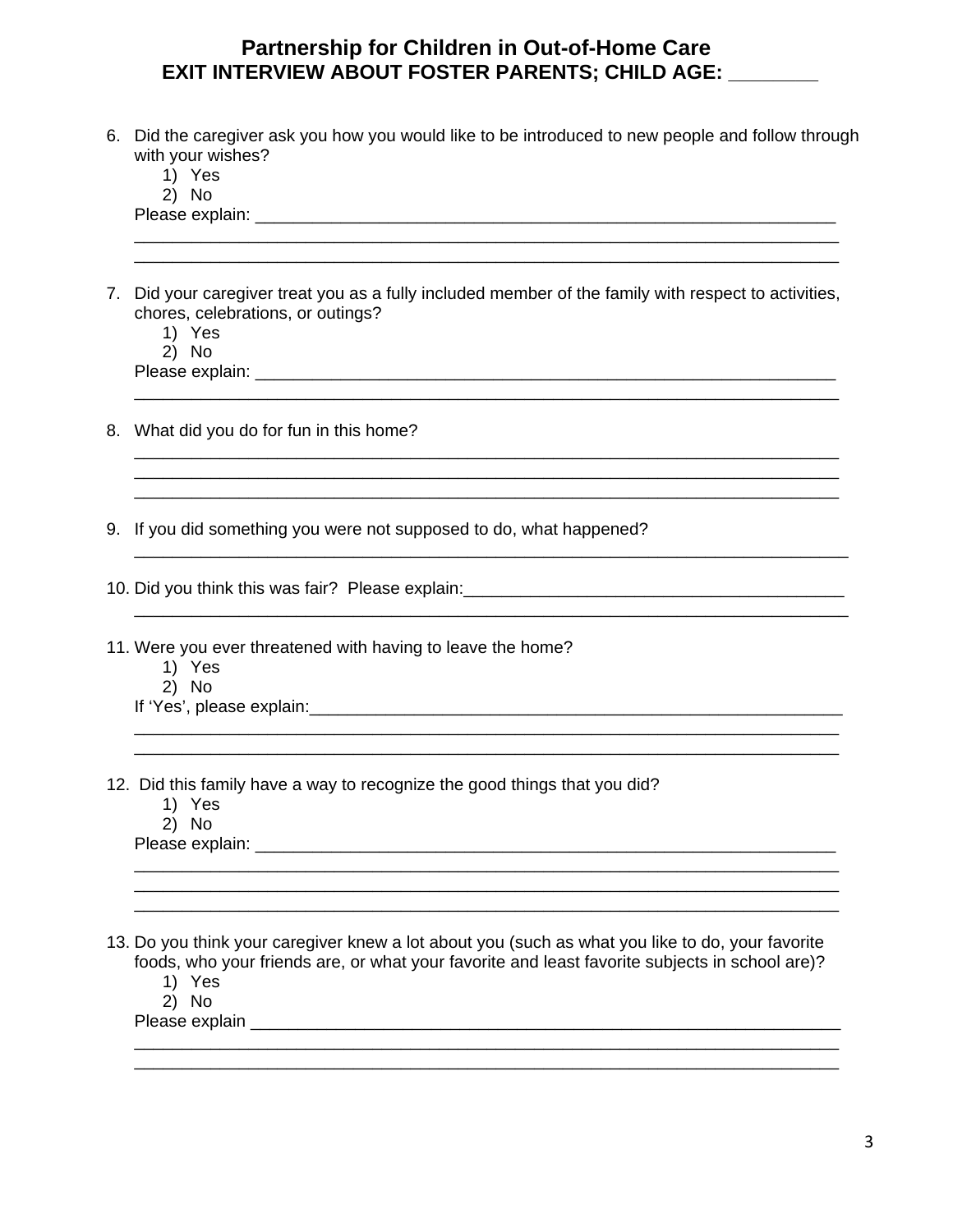| with your wishes?<br>1) Yes                                                                                                                         |
|-----------------------------------------------------------------------------------------------------------------------------------------------------|
| 2) No                                                                                                                                               |
|                                                                                                                                                     |
|                                                                                                                                                     |
| 7. Did your caregiver treat you as a fully included member of the family with respect to activities,<br>chores, celebrations, or outings?<br>1) Yes |
| 2) No                                                                                                                                               |
|                                                                                                                                                     |
| 8. What did you do for fun in this home?                                                                                                            |
| 9. If you did something you were not supposed to do, what happened?                                                                                 |
| 10. Did you think this was fair? Please explain:_________________________________                                                                   |
| 11. Were you ever threatened with having to leave the home?<br>1) Yes<br>2) No                                                                      |
| 12. Did this family have a way to recognize the good things that you did?<br>1) Yes                                                                 |
| 2) No                                                                                                                                               |
| 13. Do you think your caregiver knew a lot about you (such as what you like to do, your favorite                                                    |
| foods, who your friends are, or what your favorite and least favorite subjects in school are)?<br>1) Yes<br>2) No                                   |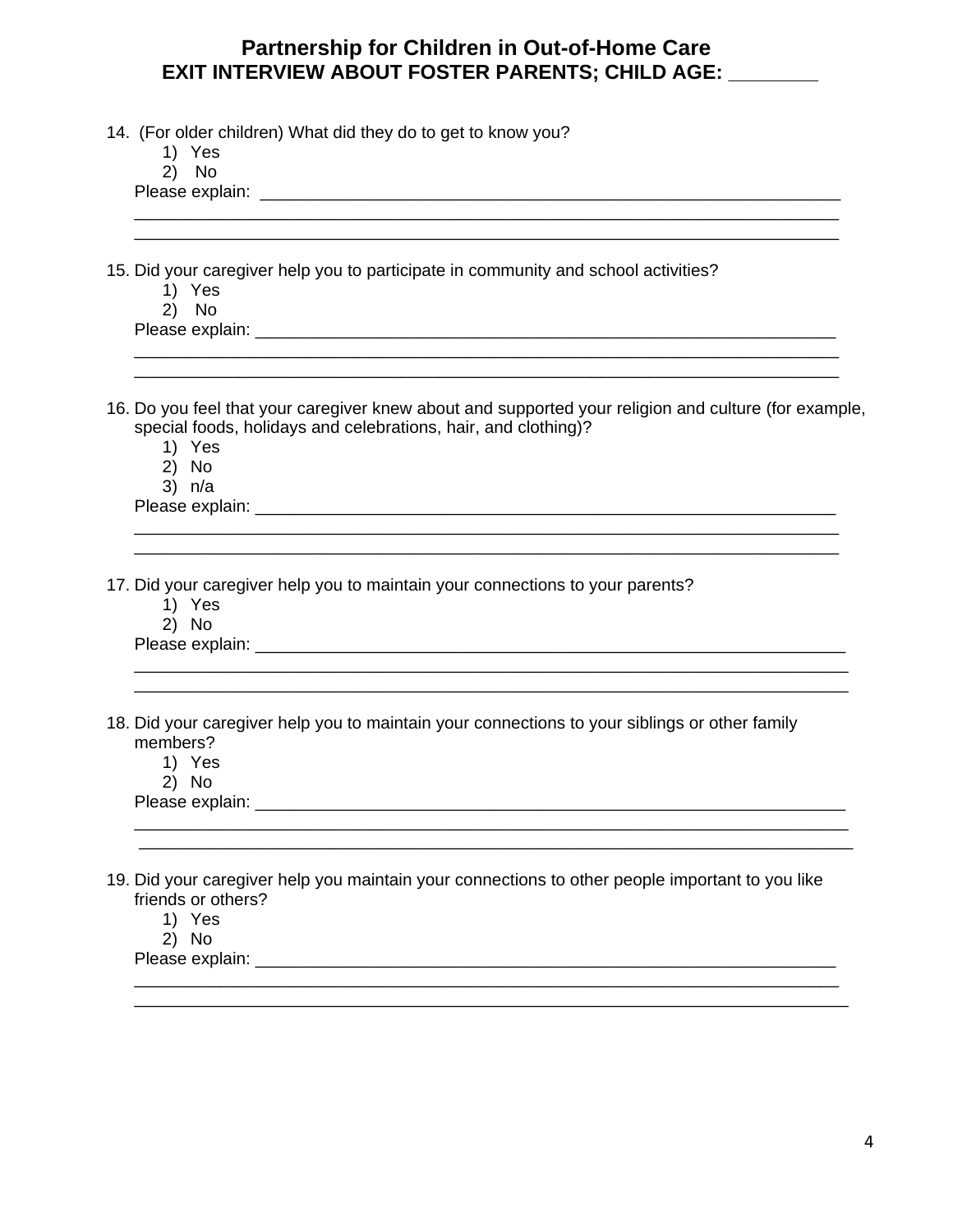| 14. (For older children) What did they do to get to know you? |  |  |  |  |  |  |  |  |
|---------------------------------------------------------------|--|--|--|--|--|--|--|--|
|---------------------------------------------------------------|--|--|--|--|--|--|--|--|

| 1<br>Y.<br>'es |
|----------------|
|----------------|

 $2^{\prime}$  No

Please explain: Letter that the set of the set of the set of the set of the set of the set of the set of the set of the set of the set of the set of the set of the set of the set of the set of the set of the set of the set

15. Did your caregiver help you to participate in community and school activities?

- 1) Yes
- 2) No

| Please explain: |  |
|-----------------|--|
|                 |  |

16. Do you feel that your caregiver knew about and supported your religion and culture (for example, special foods, holidays and celebrations, hair, and clothing)?

\_\_\_\_\_\_\_\_\_\_\_\_\_\_\_\_\_\_\_\_\_\_\_\_\_\_\_\_\_\_\_\_\_\_\_\_\_\_\_\_\_\_\_\_\_\_\_\_\_\_\_\_\_\_\_\_\_\_\_\_\_\_\_\_\_\_\_\_\_\_\_\_\_\_ \_\_\_\_\_\_\_\_\_\_\_\_\_\_\_\_\_\_\_\_\_\_\_\_\_\_\_\_\_\_\_\_\_\_\_\_\_\_\_\_\_\_\_\_\_\_\_\_\_\_\_\_\_\_\_\_\_\_\_\_\_\_\_\_\_\_\_\_\_\_\_\_\_\_

\_\_\_\_\_\_\_\_\_\_\_\_\_\_\_\_\_\_\_\_\_\_\_\_\_\_\_\_\_\_\_\_\_\_\_\_\_\_\_\_\_\_\_\_\_\_\_\_\_\_\_\_\_\_\_\_\_\_\_\_\_\_\_\_\_\_\_\_\_\_\_\_\_\_\_ \_\_\_\_\_\_\_\_\_\_\_\_\_\_\_\_\_\_\_\_\_\_\_\_\_\_\_\_\_\_\_\_\_\_\_\_\_\_\_\_\_\_\_\_\_\_\_\_\_\_\_\_\_\_\_\_\_\_\_\_\_\_\_\_\_\_\_\_\_\_\_\_\_\_\_

\_\_\_\_\_\_\_\_\_\_\_\_\_\_\_\_\_\_\_\_\_\_\_\_\_\_\_\_\_\_\_\_\_\_\_\_\_\_\_\_\_\_\_\_\_\_\_\_\_\_\_\_\_\_\_\_\_\_\_\_\_\_\_\_\_\_\_\_\_\_\_\_\_\_\_ \_\_\_\_\_\_\_\_\_\_\_\_\_\_\_\_\_\_\_\_\_\_\_\_\_\_\_\_\_\_\_\_\_\_\_\_\_\_\_\_\_\_\_\_\_\_\_\_\_\_\_\_\_\_\_\_\_\_\_\_\_\_\_\_\_\_\_\_\_\_\_\_\_\_\_

\_\_\_\_\_\_\_\_\_\_\_\_\_\_\_\_\_\_\_\_\_\_\_\_\_\_\_\_\_\_\_\_\_\_\_\_\_\_\_\_\_\_\_\_\_\_\_\_\_\_\_\_\_\_\_\_\_\_\_\_\_\_\_\_\_\_\_\_\_\_\_\_\_\_ \_\_\_\_\_\_\_\_\_\_\_\_\_\_\_\_\_\_\_\_\_\_\_\_\_\_\_\_\_\_\_\_\_\_\_\_\_\_\_\_\_\_\_\_\_\_\_\_\_\_\_\_\_\_\_\_\_\_\_\_\_\_\_\_\_\_\_\_\_\_\_\_\_\_\_

\_\_\_\_\_\_\_\_\_\_\_\_\_\_\_\_\_\_\_\_\_\_\_\_\_\_\_\_\_\_\_\_\_\_\_\_\_\_\_\_\_\_\_\_\_\_\_\_\_\_\_\_\_\_\_\_\_\_\_\_\_\_\_\_\_\_\_\_\_\_\_\_\_\_ \_\_\_\_\_\_\_\_\_\_\_\_\_\_\_\_\_\_\_\_\_\_\_\_\_\_\_\_\_\_\_\_\_\_\_\_\_\_\_\_\_\_\_\_\_\_\_\_\_\_\_\_\_\_\_\_\_\_\_\_\_\_\_\_\_\_\_\_\_\_\_\_\_\_

\_\_\_\_\_\_\_\_\_\_\_\_\_\_\_\_\_\_\_\_\_\_\_\_\_\_\_\_\_\_\_\_\_\_\_\_\_\_\_\_\_\_\_\_\_\_\_\_\_\_\_\_\_\_\_\_\_\_\_\_\_\_\_\_\_\_\_\_\_\_\_\_\_\_

- 1) Yes
- 2) No
- 3) n/a

Please explain: **Example 20** and  $\overline{P}$  and  $\overline{P}$  and  $\overline{P}$  and  $\overline{P}$  and  $\overline{P}$  and  $\overline{P}$  and  $\overline{P}$  and  $\overline{P}$  and  $\overline{P}$  and  $\overline{P}$  and  $\overline{P}$  and  $\overline{P}$  and  $\overline{P}$  and  $\overline{P}$  and  $\overline{P}$ 

17. Did your caregiver help you to maintain your connections to your parents?

- 1) Yes
- 2) No

Please explain: **Example 20** and 20 and 20 and 20 and 20 and 20 and 20 and 20 and 20 and 20 and 20 and 20 and 20 and 20 and 20 and 20 and 20 and 20 and 20 and 20 and 20 and 20 and 20 and 20 and 20 and 20 and 20 and 20 and

18. Did your caregiver help you to maintain your connections to your siblings or other family members?

- 1) Yes
- 2) No

Please explain: **Example 20** and 20 and 20 and 20 and 20 and 20 and 20 and 20 and 20 and 20 and 20 and 20 and 20 and 20 and 20 and 20 and 20 and 20 and 20 and 20 and 20 and 20 and 20 and 20 and 20 and 20 and 20 and 20 and

19. Did your caregiver help you maintain your connections to other people important to you like friends or others?

- 1) Yes
- 2) No

Please explain: **Example 20** and 20 and 20 and 20 and 20 and 20 and 20 and 20 and 20 and 20 and 20 and 20 and 20 and 20 and 20 and 20 and 20 and 20 and 20 and 20 and 20 and 20 and 20 and 20 and 20 and 20 and 20 and 20 and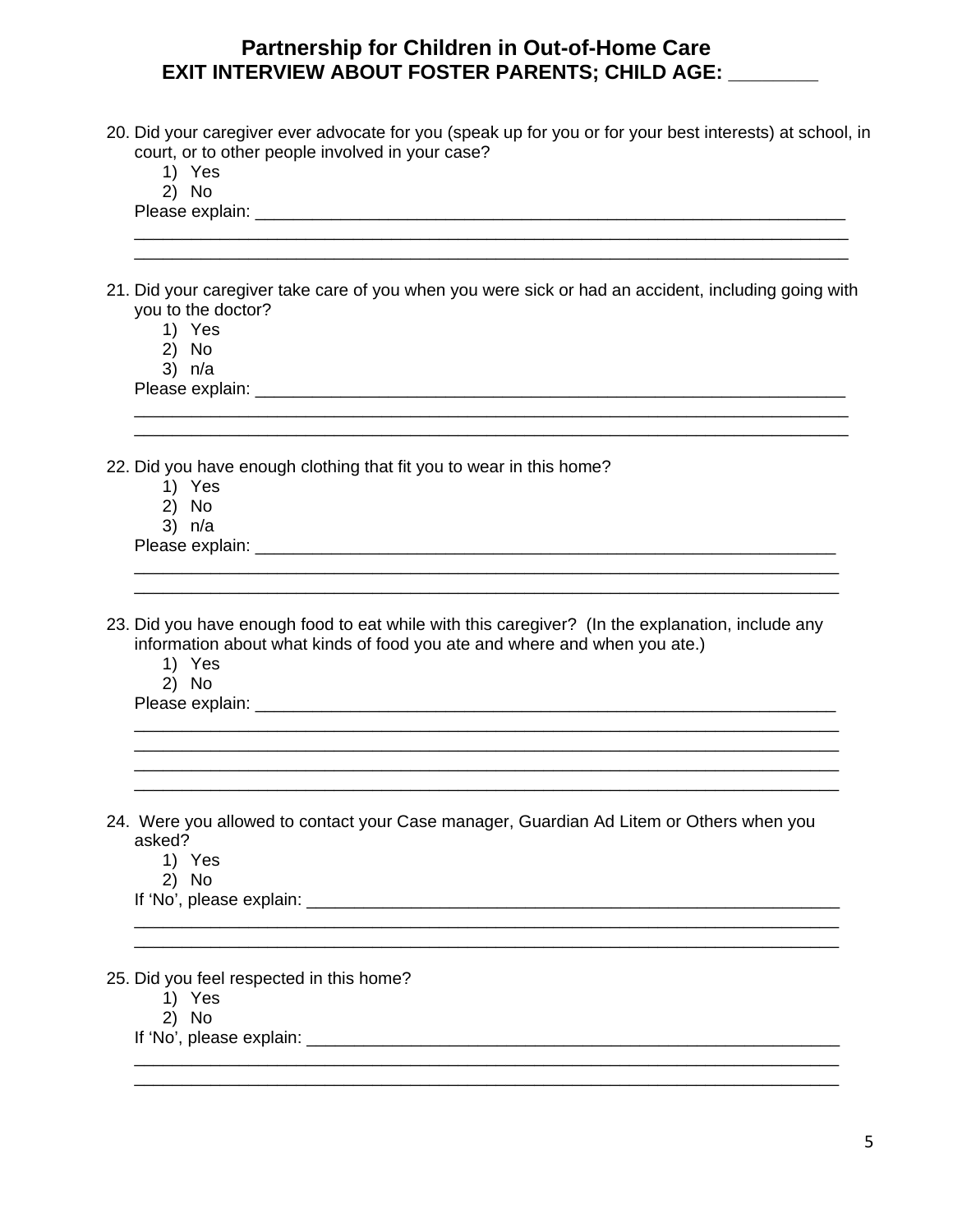- 20. Did your caregiver ever advocate for you (speak up for you or for your best interests) at school, in court, or to other people involved in your case?
	- 1) Yes
	- 2) No

Please explain: \_\_\_\_\_\_\_\_\_\_\_\_\_\_\_\_\_\_\_\_\_\_\_\_\_\_\_\_\_\_\_\_\_\_\_\_\_\_\_\_\_\_\_\_\_\_\_\_\_\_\_\_\_\_\_\_\_\_\_\_\_\_

21. Did your caregiver take care of you when you were sick or had an accident, including going with you to the doctor?

\_\_\_\_\_\_\_\_\_\_\_\_\_\_\_\_\_\_\_\_\_\_\_\_\_\_\_\_\_\_\_\_\_\_\_\_\_\_\_\_\_\_\_\_\_\_\_\_\_\_\_\_\_\_\_\_\_\_\_\_\_\_\_\_\_\_\_\_\_\_\_\_\_\_\_

\_\_\_\_\_\_\_\_\_\_\_\_\_\_\_\_\_\_\_\_\_\_\_\_\_\_\_\_\_\_\_\_\_\_\_\_\_\_\_\_\_\_\_\_\_\_\_\_\_\_\_\_\_\_\_\_\_\_\_\_\_\_\_\_\_\_\_\_\_\_\_\_\_\_ \_\_\_\_\_\_\_\_\_\_\_\_\_\_\_\_\_\_\_\_\_\_\_\_\_\_\_\_\_\_\_\_\_\_\_\_\_\_\_\_\_\_\_\_\_\_\_\_\_\_\_\_\_\_\_\_\_\_\_\_\_\_\_\_\_\_\_\_\_\_\_\_\_\_

\_\_\_\_\_\_\_\_\_\_\_\_\_\_\_\_\_\_\_\_\_\_\_\_\_\_\_\_\_\_\_\_\_\_\_\_\_\_\_\_\_\_\_\_\_\_\_\_\_\_\_\_\_\_\_\_\_\_\_\_\_\_\_\_\_\_\_\_\_\_\_\_\_\_ \_\_\_\_\_\_\_\_\_\_\_\_\_\_\_\_\_\_\_\_\_\_\_\_\_\_\_\_\_\_\_\_\_\_\_\_\_\_\_\_\_\_\_\_\_\_\_\_\_\_\_\_\_\_\_\_\_\_\_\_\_\_\_\_\_\_\_\_\_\_\_\_\_\_ \_\_\_\_\_\_\_\_\_\_\_\_\_\_\_\_\_\_\_\_\_\_\_\_\_\_\_\_\_\_\_\_\_\_\_\_\_\_\_\_\_\_\_\_\_\_\_\_\_\_\_\_\_\_\_\_\_\_\_\_\_\_\_\_\_\_\_\_\_\_\_\_\_\_ \_\_\_\_\_\_\_\_\_\_\_\_\_\_\_\_\_\_\_\_\_\_\_\_\_\_\_\_\_\_\_\_\_\_\_\_\_\_\_\_\_\_\_\_\_\_\_\_\_\_\_\_\_\_\_\_\_\_\_\_\_\_\_\_\_\_\_\_\_\_\_\_\_\_

\_\_\_\_\_\_\_\_\_\_\_\_\_\_\_\_\_\_\_\_\_\_\_\_\_\_\_\_\_\_\_\_\_\_\_\_\_\_\_\_\_\_\_\_\_\_\_\_\_\_\_\_\_\_\_\_\_\_\_\_\_\_\_\_\_\_\_\_\_\_\_\_\_\_ \_\_\_\_\_\_\_\_\_\_\_\_\_\_\_\_\_\_\_\_\_\_\_\_\_\_\_\_\_\_\_\_\_\_\_\_\_\_\_\_\_\_\_\_\_\_\_\_\_\_\_\_\_\_\_\_\_\_\_\_\_\_\_\_\_\_\_\_\_\_\_\_\_\_

\_\_\_\_\_\_\_\_\_\_\_\_\_\_\_\_\_\_\_\_\_\_\_\_\_\_\_\_\_\_\_\_\_\_\_\_\_\_\_\_\_\_\_\_\_\_\_\_\_\_\_\_\_\_\_\_\_\_\_\_\_\_\_\_\_\_\_\_\_\_\_\_\_\_ \_\_\_\_\_\_\_\_\_\_\_\_\_\_\_\_\_\_\_\_\_\_\_\_\_\_\_\_\_\_\_\_\_\_\_\_\_\_\_\_\_\_\_\_\_\_\_\_\_\_\_\_\_\_\_\_\_\_\_\_\_\_\_\_\_\_\_\_\_\_\_\_\_\_

\_\_\_\_\_\_\_\_\_\_\_\_\_\_\_\_\_\_\_\_\_\_\_\_\_\_\_\_\_\_\_\_\_\_\_\_\_\_\_\_\_\_\_\_\_\_\_\_\_\_\_\_\_\_\_\_\_\_\_\_\_\_\_\_\_\_\_\_\_\_\_\_\_\_\_

- 1) Yes
- 2) No
- 3) n/a

Please explain: **Example 20** and 20 and 20 and 20 and 20 and 20 and 20 and 20 and 20 and 20 and 20 and 20 and 20 and 20 and 20 and 20 and 20 and 20 and 20 and 20 and 20 and 20 and 20 and 20 and 20 and 20 and 20 and 20 and

22. Did you have enough clothing that fit you to wear in this home?

- 1) Yes
- 2) No
- 3) n/a

Please explain: \_\_\_\_\_\_\_\_\_\_\_\_\_\_\_\_\_\_\_\_\_\_\_\_\_\_\_\_\_\_\_\_\_\_\_\_\_\_\_\_\_\_\_\_\_\_\_\_\_\_\_\_\_\_\_\_\_\_\_\_\_

- 23. Did you have enough food to eat while with this caregiver? (In the explanation, include any information about what kinds of food you ate and where and when you ate.)
	- 1) Yes
	- 2) No

Please explain: **Example 20** and 20 and 20 and 20 and 20 and 20 and 20 and 20 and 20 and 20 and 20 and 20 and 20 and 20 and 20 and 20 and 20 and 20 and 20 and 20 and 20 and 20 and 20 and 20 and 20 and 20 and 20 and 20 and

24. Were you allowed to contact your Case manager, Guardian Ad Litem or Others when you asked?

- 1) Yes
- 2) No
- If 'No', please explain:  $\blacksquare$

25. Did you feel respected in this home?

- 1) Yes
- 2) No

If 'No', please explain: \_\_\_\_\_\_\_\_\_\_\_\_\_\_\_\_\_\_\_\_\_\_\_\_\_\_\_\_\_\_\_\_\_\_\_\_\_\_\_\_\_\_\_\_\_\_\_\_\_\_\_\_\_\_\_\_